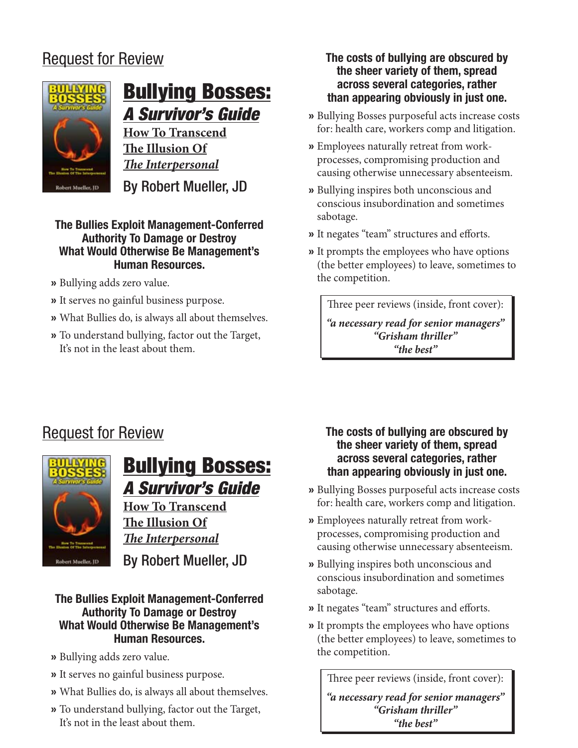## Request for Review



# Bullying Bosses: A Survivor's Guide

**How To Transcend The Illusion Of**  *The Interpersonal*

By Robert Mueller, JD

#### **The Bullies Exploit Management-Conferred Authority To Damage or Destroy What Would Otherwise Be Management's Human Resources.**

- » Bullying adds zero value.
- It serves no gainful business purpose. »
- What Bullies do, is always all about themselves. »
- To understand bullying, factor out the Target, » It's not in the least about them.

#### **The costs of bullying are obscured by the sheer variety of them, spread across several categories, rather than appearing obviously in just one.**

- » Bullying Bosses purposeful acts increase costs for: health care, workers comp and litigation.
- Employees naturally retreat from work-» processes, compromising production and causing otherwise unnecessary absenteeism.
- Bullying inspires both unconscious and » conscious insubordination and sometimes sabotage.
- It negates "team" structures and efforts. »
- » It prompts the employees who have options (the better employees) to leave, sometimes to the competition.

Three peer reviews (inside, front cover):

*"a necessary read for senior managers" "Grisham thriller" "the best"*